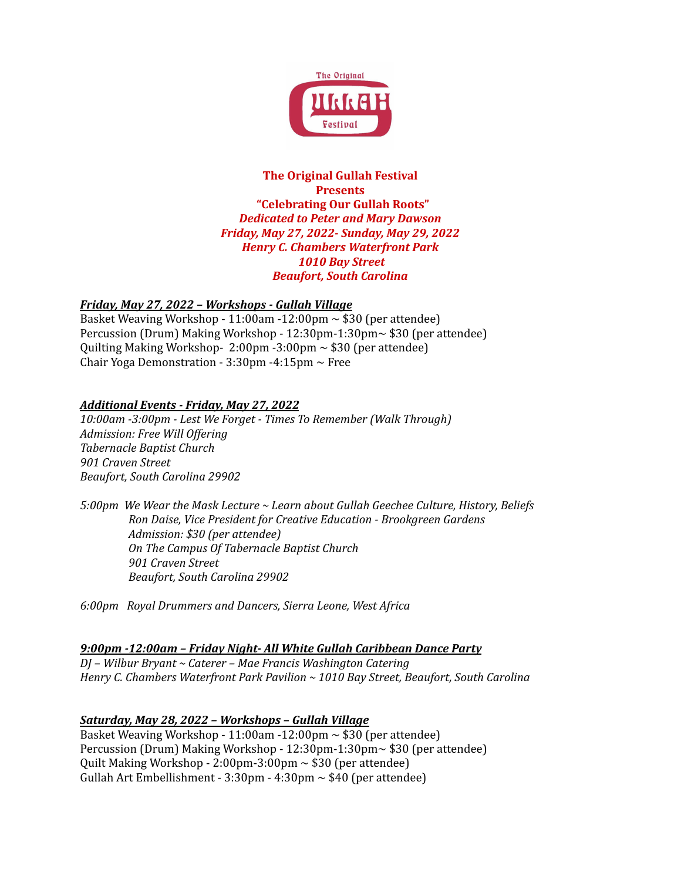

#### **The Original Gullah Festival Presents "Celebrating Our Gullah Roots"** *Dedicated to Peter and Mary Dawson Friday, May 27, 2022- Sunday, May 29, 2022 Henry C. Chambers Waterfront Park 1010 Bay Street Beaufort, South Carolina*

## *Friday, May 27, 2022 – Workshops - Gullah Village*

Basket Weaving Workshop - 11:00am - 12:00pm  $\sim$  \$30 (per attendee) Percussion (Drum) Making Workshop - 12:30pm-1:30pm~ \$30 (per attendee) Quilting Making Workshop- 2:00pm -3:00pm ~ \$30 (per attendee) Chair Yoga Demonstration -  $3:30$ pm - $4:15$ pm  $\sim$  Free

## *Additional Events - Friday, May 27, 2022*

*10:00am -3:00pm - Lest We Forget - Times To Remember (Walk Through) Admission: Free Will Of ering Tabernacle Baptist Church 901 Craven Street Beaufort, South Carolina 29902*

*5:00pm We Wear the Mask Lecture ~ Learn about Gullah Geechee Culture, History, Beliefs Ron Daise, Vice President for Creative Education - Brookgreen Gardens Admission: \$30 (per attendee) On The Campus Of Tabernacle Baptist Church 901 Craven Street Beaufort, South Carolina 29902*

*6:00pm Royal Drummers and Dancers, Sierra Leone, West Africa*

## *9:00pm -12:00am – Friday Night- All White Gullah Caribbean Dance Party*

*DJ – Wilbur Bryant ~ Caterer – Mae Francis Washington Catering Henry C. Chambers Waterfront Park Pavilion ~ 1010 Bay Street, Beaufort, South Carolina*

## *Saturday, May 28, 2022 – Workshops – Gullah Village*

Basket Weaving Workshop - 11:00am - 12:00pm  $\sim$  \$30 (per attendee) Percussion (Drum) Making Workshop - 12:30pm-1:30pm~ \$30 (per attendee) Quilt Making Workshop - 2:00pm-3:00pm ~ \$30 (per attendee) Gullah Art Embellishment -  $3:30 \text{pm}$  -  $4:30 \text{pm}$   $\sim$  \$40 (per attendee)